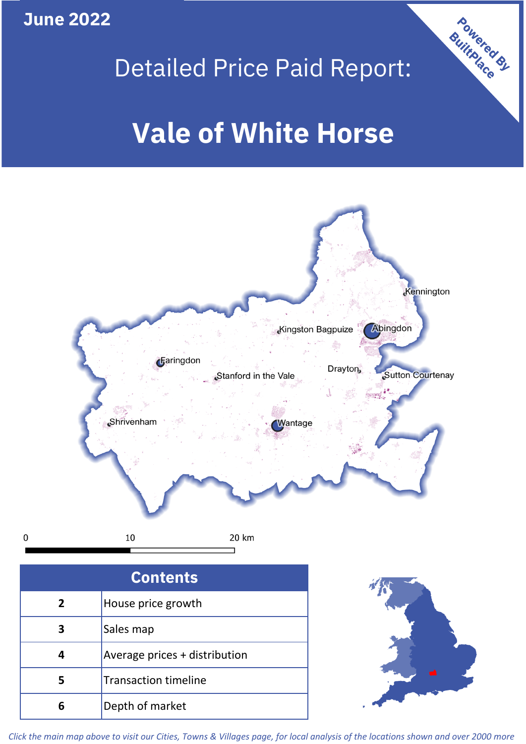**June 2022**





*Click the main map above to visit our Cities, Towns & Villages page, for local analysis of the locations shown and over 2000 more*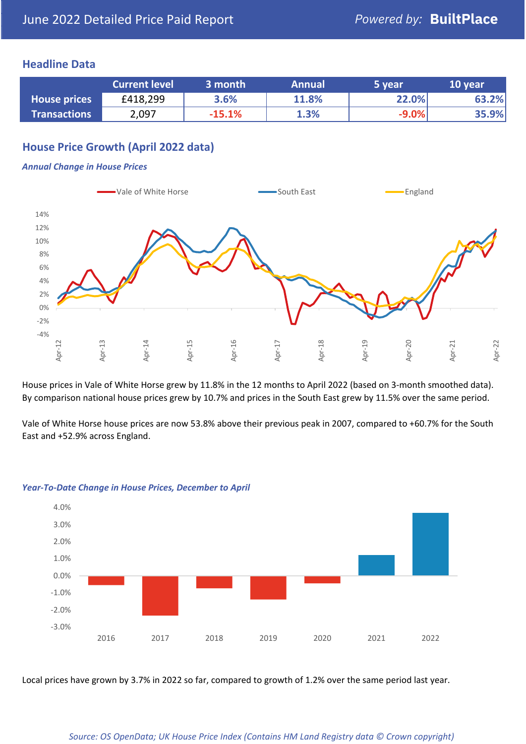### **Headline Data**

|                     | <b>Current level</b> | 3 month  | <b>Annual</b> | 5 year  | 10 year |
|---------------------|----------------------|----------|---------------|---------|---------|
| <b>House prices</b> | £418,299             | 3.6%     | 11.8%         | 22.0%   | 63.2%   |
| <b>Transactions</b> | 2,097                | $-15.1%$ | 1.3%          | $-9.0%$ | 35.9%   |

## **House Price Growth (April 2022 data)**

#### *Annual Change in House Prices*



House prices in Vale of White Horse grew by 11.8% in the 12 months to April 2022 (based on 3-month smoothed data). By comparison national house prices grew by 10.7% and prices in the South East grew by 11.5% over the same period.

Vale of White Horse house prices are now 53.8% above their previous peak in 2007, compared to +60.7% for the South East and +52.9% across England.



#### *Year-To-Date Change in House Prices, December to April*

Local prices have grown by 3.7% in 2022 so far, compared to growth of 1.2% over the same period last year.

#### *Source: OS OpenData; UK House Price Index (Contains HM Land Registry data © Crown copyright)*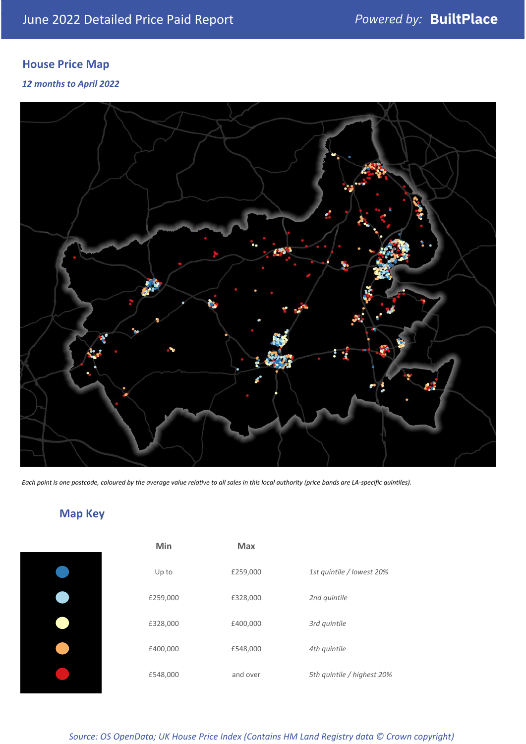# **House Price Map**

*12 months to April 2022*



*Each point is one postcode, coloured by the average value relative to all sales in this local authority (price bands are LA-specific quintiles).*

# **Map Key**

| Min      | Max      |                            |
|----------|----------|----------------------------|
| Up to    | £259,000 | 1st quintile / lowest 20%  |
| £259,000 | £328,000 | 2nd quintile               |
| £328,000 | £400,000 | 3rd quintile               |
| £400,000 | £548,000 | 4th quintile               |
| £548,000 | and over | 5th quintile / highest 20% |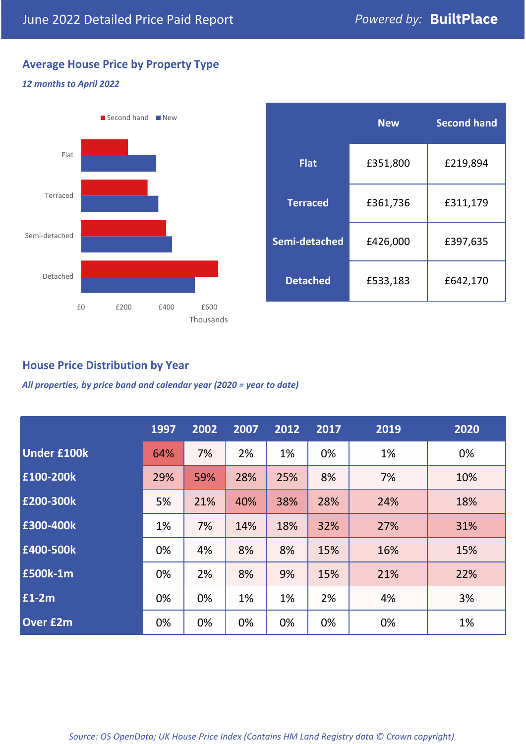# **Average House Price by Property Type**

### *12 months to April 2022*



|                 | <b>New</b> | <b>Second hand</b> |  |  |
|-----------------|------------|--------------------|--|--|
| <b>Flat</b>     | £351,800   | £219,894           |  |  |
| <b>Terraced</b> | £361,736   | £311,179           |  |  |
| Semi-detached   | £426,000   | £397,635           |  |  |
| <b>Detached</b> | £533,183   | £642,170           |  |  |

## **House Price Distribution by Year**

*All properties, by price band and calendar year (2020 = year to date)*

|                    | 1997 | 2002 | 2007 | 2012 | 2017 | 2019 | 2020 |
|--------------------|------|------|------|------|------|------|------|
| <b>Under £100k</b> | 64%  | 7%   | 2%   | 1%   | 0%   | 1%   | 0%   |
| £100-200k          | 29%  | 59%  | 28%  | 25%  | 8%   | 7%   | 10%  |
| E200-300k          | 5%   | 21%  | 40%  | 38%  | 28%  | 24%  | 18%  |
| £300-400k          | 1%   | 7%   | 14%  | 18%  | 32%  | 27%  | 31%  |
| £400-500k          | 0%   | 4%   | 8%   | 8%   | 15%  | 16%  | 15%  |
| <b>£500k-1m</b>    | 0%   | 2%   | 8%   | 9%   | 15%  | 21%  | 22%  |
| £1-2m              | 0%   | 0%   | 1%   | 1%   | 2%   | 4%   | 3%   |
| <b>Over £2m</b>    | 0%   | 0%   | 0%   | 0%   | 0%   | 0%   | 1%   |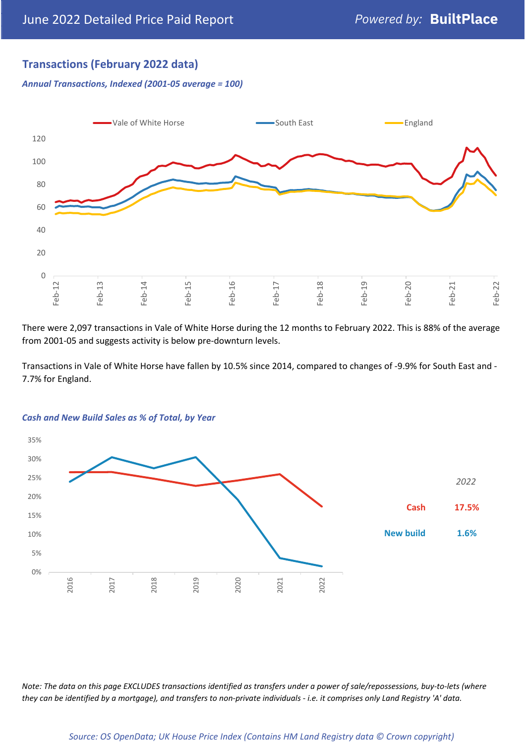## **Transactions (February 2022 data)**

*Annual Transactions, Indexed (2001-05 average = 100)*



There were 2,097 transactions in Vale of White Horse during the 12 months to February 2022. This is 88% of the average from 2001-05 and suggests activity is below pre-downturn levels.

Transactions in Vale of White Horse have fallen by 10.5% since 2014, compared to changes of -9.9% for South East and - 7.7% for England.



#### *Cash and New Build Sales as % of Total, by Year*

*Note: The data on this page EXCLUDES transactions identified as transfers under a power of sale/repossessions, buy-to-lets (where they can be identified by a mortgage), and transfers to non-private individuals - i.e. it comprises only Land Registry 'A' data.*